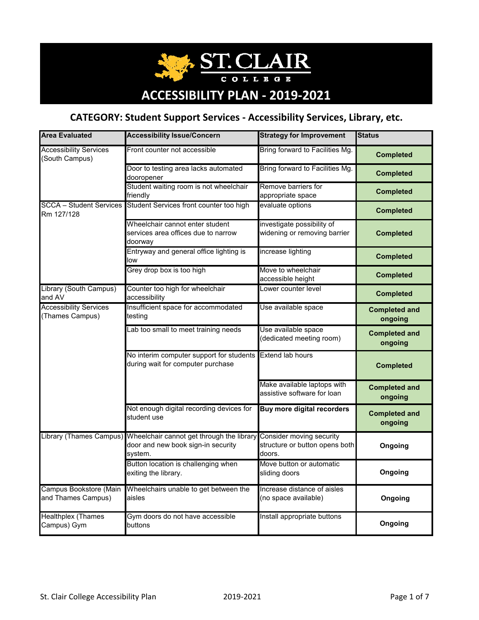**ST.CLAIR COLLEGE** 

# **ACCESSIBILITY PLAN ‐ 2019‐2021**

### **CATEGORY: Student Support Services ‐ Accessibility Services, Library, etc.**

| <b>Area Evaluated</b>                            | <b>Accessibility Issue/Concern</b>                                                             | <b>Strategy for Improvement</b>                                      | <b>Status</b>                   |
|--------------------------------------------------|------------------------------------------------------------------------------------------------|----------------------------------------------------------------------|---------------------------------|
| <b>Accessibility Services</b><br>(South Campus)  | Front counter not accessible                                                                   | Bring forward to Facilities Mg.                                      | <b>Completed</b>                |
|                                                  | Door to testing area lacks automated<br>dooropener                                             | Bring forward to Facilities Mg.                                      | <b>Completed</b>                |
|                                                  | Student waiting room is not wheelchair<br>friendly                                             | Remove barriers for<br>appropriate space                             | <b>Completed</b>                |
| <b>SCCA - Student Services</b><br>Rm 127/128     | Student Services front counter too high                                                        | evaluate options                                                     | <b>Completed</b>                |
|                                                  | Wheelchair cannot enter student<br>services area offices due to narrow<br>doorway              | investigate possibility of<br>widening or removing barrier           | <b>Completed</b>                |
|                                                  | Entryway and general office lighting is<br>low                                                 | increase lighting                                                    | <b>Completed</b>                |
|                                                  | Grey drop box is too high                                                                      | Move to wheelchair<br>accessible height                              | <b>Completed</b>                |
| Library (South Campus)<br>and AV                 | Counter too high for wheelchair<br>accessibility                                               | Lower counter level                                                  | <b>Completed</b>                |
| <b>Accessibility Services</b><br>(Thames Campus) | Insufficient space for accommodated<br>testing                                                 | Use available space                                                  | <b>Completed and</b><br>ongoing |
|                                                  | Lab too small to meet training needs                                                           | Use available space<br>(dedicated meeting room)                      | <b>Completed and</b><br>ongoing |
|                                                  | No interim computer support for students Extend lab hours<br>during wait for computer purchase |                                                                      | <b>Completed</b>                |
|                                                  |                                                                                                | Make available laptops with<br>assistive software for loan           | <b>Completed and</b><br>ongoing |
|                                                  | Not enough digital recording devices for<br>student use                                        | <b>Buy more digital recorders</b>                                    | <b>Completed and</b><br>ongoing |
| <b>Library (Thames Campus)</b>                   | Wheelchair cannot get through the library<br>door and new book sign-in security<br>system.     | Consider moving security<br>structure or button opens both<br>doors. | Ongoing                         |
|                                                  | Button location is challenging when<br>exiting the library.                                    | Move button or automatic<br>sliding doors                            | Ongoing                         |
| Campus Bookstore (Main<br>and Thames Campus)     | Wheelchairs unable to get between the<br>aisles                                                | Increase distance of aisles<br>(no space available)                  | Ongoing                         |
| <b>Healthplex (Thames</b><br>Campus) Gym         | Gym doors do not have accessible<br>buttons                                                    | Install appropriate buttons                                          | Ongoing                         |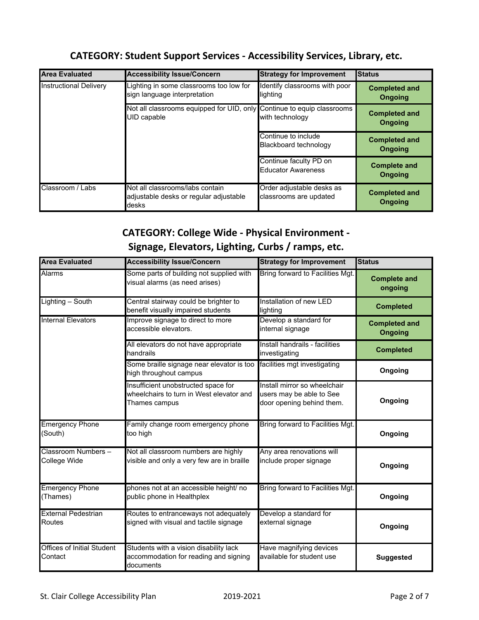#### **CATEGORY: Student Support Services ‐ Accessibility Services, Library, etc.**

| <b>Area Evaluated</b>         | <b>Accessibility Issue/Concern</b>                                                 | <b>Strategy for Improvement</b>                     | <b>Status</b>                          |
|-------------------------------|------------------------------------------------------------------------------------|-----------------------------------------------------|----------------------------------------|
| <b>Instructional Delivery</b> | Lighting in some classrooms too low for<br>sign language interpretation            | Identify classrooms with poor<br>lighting           | <b>Completed and</b><br><b>Ongoing</b> |
|                               | Not all classrooms equipped for UID, only<br>UID capable                           | Continue to equip classrooms<br>with technology     | <b>Completed and</b><br><b>Ongoing</b> |
|                               |                                                                                    | Continue to include<br>Blackboard technology        | <b>Completed and</b><br><b>Ongoing</b> |
|                               |                                                                                    | Continue faculty PD on<br><b>Educator Awareness</b> | <b>Complete and</b><br>Ongoing         |
| Classroom / Labs              | Not all classrooms/labs contain<br>adjustable desks or regular adjustable<br>desks | Order adjustable desks as<br>classrooms are updated | <b>Completed and</b><br>Ongoing        |

## **CATEGORY: College Wide ‐ Physical Environment ‐ Signage, Elevators, Lighting, Curbs / ramps, etc.**

| <b>Area Evaluated</b>                        | <b>Accessibility Issue/Concern</b>                                                               | <b>Strategy for Improvement</b>                                                       | <b>Status</b>                          |
|----------------------------------------------|--------------------------------------------------------------------------------------------------|---------------------------------------------------------------------------------------|----------------------------------------|
| Alarms                                       | Some parts of building not supplied with<br>visual alarms (as need arises)                       | Bring forward to Facilities Mgt.                                                      | <b>Complete and</b><br>ongoing         |
| Lighting - South                             | Central stairway could be brighter to<br>benefit visually impaired students                      | Installation of new LED<br>lighting                                                   | <b>Completed</b>                       |
| <b>Internal Elevators</b>                    | Improve signage to direct to more<br>accessible elevators.                                       | Develop a standard for<br>internal signage                                            | <b>Completed and</b><br><b>Ongoing</b> |
|                                              | All elevators do not have appropriate<br>handrails                                               | Install handrails - facilities<br>investigating                                       | <b>Completed</b>                       |
|                                              | Some braille signage near elevator is too<br>high throughout campus                              | facilities mgt investigating                                                          | Ongoing                                |
|                                              | Insufficient unobstructed space for<br>wheelchairs to turn in West elevator and<br>Thames campus | Install mirror so wheelchair<br>users may be able to See<br>door opening behind them. | Ongoing                                |
| <b>Emergency Phone</b><br>(South)            | Family change room emergency phone<br>too high                                                   | Bring forward to Facilities Mgt.                                                      | Ongoing                                |
| Classroom Numbers -<br>College Wide          | Not all classroom numbers are highly<br>visible and only a very few are in braille               | Any area renovations will<br>include proper signage                                   | Ongoing                                |
| <b>Emergency Phone</b><br>(Thames)           | phones not at an accessible height/ no<br>public phone in Healthplex                             | Bring forward to Facilities Mgt.                                                      | Ongoing                                |
| <b>External Pedestrian</b><br><b>Routes</b>  | Routes to entranceways not adequately<br>signed with visual and tactile signage                  | Develop a standard for<br>external signage                                            | Ongoing                                |
| <b>Offices of Initial Student</b><br>Contact | Students with a vision disability lack<br>accommodation for reading and signing<br>documents     | Have magnifying devices<br>available for student use                                  | <b>Suggested</b>                       |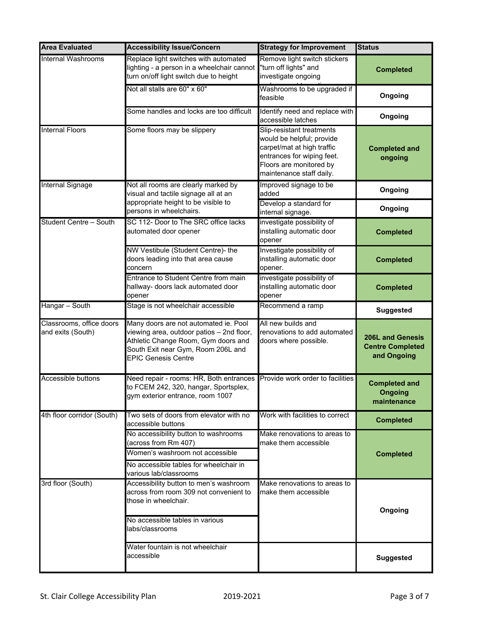| <b>Area Evaluated</b>                         | <b>Accessibility Issue/Concern</b>                                                                                                                                                            | <b>Strategy for Improvement</b>                                                                                                                                           | <b>Status</b>                                                     |
|-----------------------------------------------|-----------------------------------------------------------------------------------------------------------------------------------------------------------------------------------------------|---------------------------------------------------------------------------------------------------------------------------------------------------------------------------|-------------------------------------------------------------------|
| <b>Internal Washrooms</b>                     | Replace light switches with automated<br>lighting - a person in a wheelchair cannot<br>turn on/off light switch due to height                                                                 | Remove light switch stickers<br>"turn off lights" and<br>investigate ongoing                                                                                              | <b>Completed</b>                                                  |
|                                               | Not all stalls are 60" x 60"                                                                                                                                                                  | Washrooms to be upgraded if<br>feasible                                                                                                                                   | Ongoing                                                           |
|                                               | Some handles and locks are too difficult                                                                                                                                                      | Identify need and replace with<br>accessible latches                                                                                                                      | Ongoing                                                           |
| <b>Internal Floors</b>                        | Some floors may be slippery                                                                                                                                                                   | Slip-resistant treatments<br>would be helpful; provide<br>carpet/mat at high traffic<br>entrances for wiping feet.<br>Floors are monitored by<br>maintenance staff daily. | <b>Completed and</b><br>ongoing                                   |
| <b>Internal Signage</b>                       | Not all rooms are clearly marked by<br>visual and tactile signage all at an                                                                                                                   | Improved signage to be<br>added                                                                                                                                           | Ongoing                                                           |
|                                               | appropriate height to be visible to<br>persons in wheelchairs.                                                                                                                                | Develop a standard for<br>internal signage.                                                                                                                               | Ongoing                                                           |
| Student Centre - South                        | SC 112- Door to The SRC office lacks<br>automated door opener                                                                                                                                 | investigate possibility of<br>installing automatic door<br>opener                                                                                                         | <b>Completed</b>                                                  |
|                                               | NW Vestibule (Student Centre)- the<br>doors leading into that area cause<br>concern                                                                                                           | Investigate possibility of<br>installing automatic door<br>opener.                                                                                                        | <b>Completed</b>                                                  |
|                                               | Entrance to Student Centre from main<br>hallway- doors lack automated door<br>opener                                                                                                          | investigate possibility of<br>installing automatic door<br>opener                                                                                                         | <b>Completed</b>                                                  |
| Hangar - South                                | Stage is not wheelchair accessible                                                                                                                                                            | Recommend a ramp                                                                                                                                                          | <b>Suggested</b>                                                  |
| Classrooms, office doors<br>and exits (South) | Many doors are not automated ie. Pool<br>viewing area, outdoor patios - 2nd floor,<br>Athletic Change Room, Gym doors and<br>South Exit near Gym, Room 206L and<br><b>EPIC Genesis Centre</b> | All new builds and<br>renovations to add automated<br>doors where possible.                                                                                               | <b>206L and Genesis</b><br><b>Centre Completed</b><br>and Ongoing |
| Accessible buttons                            | Need repair - rooms: HR, Both entrances<br>to FCEM 242, 320, hangar, Sportsplex,<br>gym exterior entrance, room 1007                                                                          | Provide work order to facilities                                                                                                                                          | <b>Completed and</b><br>Ongoing<br>maintenance                    |
| 4th floor corridor (South)                    | Two sets of doors from elevator with no<br>accessible buttons                                                                                                                                 | Work with facilities to correct                                                                                                                                           | <b>Completed</b>                                                  |
|                                               | No accessibility button to washrooms<br>(across from Rm 407)<br>Women's washroom not accessible<br>No accessible tables for wheelchair in<br>various lab/classrooms                           | Make renovations to areas to<br>make them accessible                                                                                                                      | <b>Completed</b>                                                  |
| 3rd floor (South)                             | Accessibility button to men's washroom<br>across from room 309 not convenient to<br>those in wheelchair.<br>No accessible tables in various<br>labs/classrooms                                | Make renovations to areas to<br>make them accessible                                                                                                                      | Ongoing                                                           |
|                                               | Water fountain is not wheelchair<br>accessible                                                                                                                                                |                                                                                                                                                                           | <b>Suggested</b>                                                  |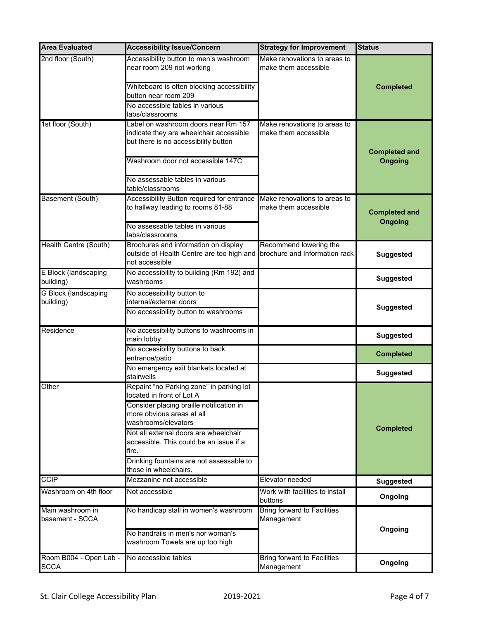| <b>Area Evaluated</b>                    | <b>Accessibility Issue/Concern</b>                                                                                                             | <b>Strategy for Improvement</b>                         | <b>Status</b>                          |
|------------------------------------------|------------------------------------------------------------------------------------------------------------------------------------------------|---------------------------------------------------------|----------------------------------------|
| 2nd floor (South)                        | Accessibility button to men's washroom<br>near room 209 not working                                                                            | Make renovations to areas to<br>make them accessible    |                                        |
|                                          | Whiteboard is often blocking accessibility<br>button near room 209                                                                             |                                                         | <b>Completed</b>                       |
|                                          | No accessible tables in various<br>labs/classrooms                                                                                             |                                                         |                                        |
| 1st floor (South)                        | Label on washroom doors near Rm 157<br>indicate they are wheelchair accessible<br>but there is no accessibility button                         | Make renovations to areas to<br>make them accessible    | <b>Completed and</b>                   |
|                                          | Washroom door not accessible 147C<br>No assessable tables in various                                                                           |                                                         | <b>Ongoing</b>                         |
|                                          | table/classrooms                                                                                                                               |                                                         |                                        |
| Basement (South)                         | Accessibility Button required for entrance<br>to hallway leading to rooms 81-88                                                                | Make renovations to areas to<br>make them accessible    | <b>Completed and</b><br><b>Ongoing</b> |
|                                          | No assessable tables in various<br>labs/classrooms                                                                                             |                                                         |                                        |
| Health Centre (South)                    | Brochures and information on display<br>outside of Health Centre are too high and<br>not accessible                                            | Recommend lowering the<br>brochure and Information rack | <b>Suggested</b>                       |
| E Block (landscaping<br>building)        | No accessibility to building (Rm 192) and<br>washrooms                                                                                         |                                                         | <b>Suggested</b>                       |
| <b>G Block (landscaping</b><br>building) | No accessibility button to<br>internal/external doors<br>No accessibility button to washrooms                                                  |                                                         | <b>Suggested</b>                       |
| Residence                                | No accessibility buttons to washrooms in<br>main lobby                                                                                         |                                                         | <b>Suggested</b>                       |
|                                          | No accessibility buttons to back<br>entrance/patio                                                                                             |                                                         | <b>Completed</b>                       |
|                                          | No emergency exit blankets located at<br>stairwells                                                                                            |                                                         | <b>Suggested</b>                       |
| Other                                    | Repaint "no Parking zone" in parking lot<br>located in front of Lot A<br>Consider placing braille notification in<br>more obvious areas at all |                                                         |                                        |
|                                          | washrooms/elevators<br>Not all external doors are wheelchair<br>accessible. This could be an issue if a<br>fire.                               |                                                         | <b>Completed</b>                       |
|                                          | Drinking fountains are not assessable to<br>those in wheelchairs.                                                                              |                                                         |                                        |
| <b>CCIP</b>                              | Mezzanine not accessible                                                                                                                       | Elevator needed                                         | <b>Suggested</b>                       |
| Washroom on 4th floor                    | Not accessible                                                                                                                                 | Work with facilities to install<br>buttons              | Ongoing                                |
| Main washroom in<br>basement - SCCA      | No handicap stall in women's washroom                                                                                                          | Bring forward to Facilities<br>Management               |                                        |
|                                          | No handrails in men's nor woman's<br>washroom Towels are up too high                                                                           |                                                         | Ongoing                                |
| Room B004 - Open Lab -<br><b>SCCA</b>    | No accessible tables                                                                                                                           | <b>Bring forward to Facilities</b><br>Management        | Ongoing                                |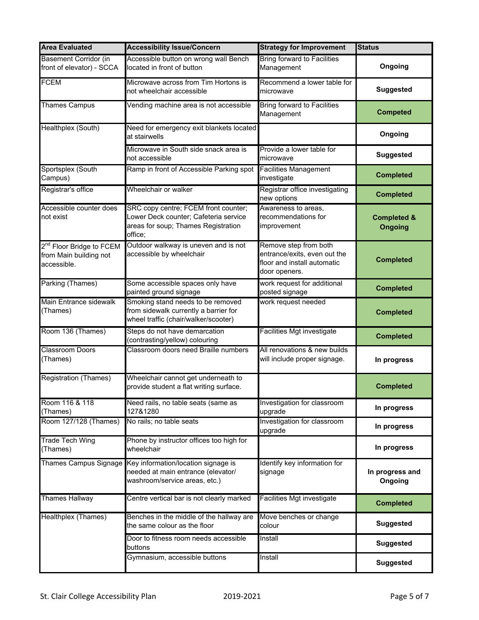| <b>Area Evaluated</b>                                                         | <b>Accessibility Issue/Concern</b>                                                                                              | <b>Strategy for Improvement</b>                                                                       | <b>Status</b>                            |
|-------------------------------------------------------------------------------|---------------------------------------------------------------------------------------------------------------------------------|-------------------------------------------------------------------------------------------------------|------------------------------------------|
| <b>Basement Corridor (in</b><br>front of elevator) - SCCA                     | Accessible button on wrong wall Bench<br>located in front of button                                                             | <b>Bring forward to Facilities</b><br>Management                                                      | Ongoing                                  |
| <b>FCEM</b>                                                                   | Microwave across from Tim Hortons is<br>not wheelchair accessible                                                               | Recommend a lower table for<br>microwave                                                              | <b>Suggested</b>                         |
| <b>Thames Campus</b>                                                          | Vending machine area is not accessible                                                                                          | <b>Bring forward to Facilities</b><br>Management                                                      | <b>Competed</b>                          |
| Healthplex (South)                                                            | Need for emergency exit blankets located<br>at stairwells                                                                       |                                                                                                       | Ongoing                                  |
|                                                                               | Microwave in South side snack area is<br>not accessible                                                                         | Provide a lower table for<br>microwave                                                                | <b>Suggested</b>                         |
| Sportsplex (South<br>Campus)                                                  | Ramp in front of Accessible Parking spot                                                                                        | Facilities Management<br>investigate                                                                  | <b>Completed</b>                         |
| Registrar's office                                                            | Wheelchair or walker                                                                                                            | Registrar office investigating<br>new options                                                         | <b>Completed</b>                         |
| Accessible counter does<br>not exist                                          | SRC copy centre; FCEM front counter;<br>Lower Deck counter; Cafeteria service<br>areas for soup; Thames Registration<br>office; | Awareness to areas,<br>recommendations for<br>improvement                                             | <b>Completed &amp;</b><br><b>Ongoing</b> |
| 2 <sup>nd</sup> Floor Bridge to FCEM<br>from Main building not<br>accessible. | Outdoor walkway is uneven and is not<br>accessible by wheelchair                                                                | Remove step from both<br>entrance/exits, even out the<br>floor and install automatic<br>door openers. | <b>Completed</b>                         |
| Parking (Thames)                                                              | Some accessible spaces only have<br>painted ground signage                                                                      | work request for additional<br>posted signage                                                         | <b>Completed</b>                         |
| Main Entrance sidewalk<br>(Thames)                                            | Smoking stand needs to be removed<br>from sidewalk currently a barrier for<br>wheel traffic (chair/walker/scooter)              | work request needed                                                                                   | <b>Completed</b>                         |
| Room 136 (Thames)                                                             | Steps do not have demarcation<br>(contrasting/yellow) colouring                                                                 | Facilities Mgt investigate                                                                            | <b>Completed</b>                         |
| <b>Classroom Doors</b><br>(Thames)                                            | Classroom doors need Braille numbers                                                                                            | All renovations & new builds<br>will include proper signage.                                          | In progress                              |
| <b>Registration (Thames)</b>                                                  | Wheelchair cannot get underneath to<br>provide student a flat writing surface.                                                  |                                                                                                       | <b>Completed</b>                         |
| Room 116 & 118<br>(Thames)                                                    | Need rails, no table seats (same as<br>127&1280                                                                                 | Investigation for classroom<br>upgrade                                                                | In progress                              |
| Room 127/128 (Thames)                                                         | No rails; no table seats                                                                                                        | Investigation for classroom<br>upgrade                                                                | In progress                              |
| <b>Trade Tech Wing</b><br>(Thames)                                            | Phone by instructor offices too high for<br>wheelchair                                                                          |                                                                                                       | In progress                              |
| <b>Thames Campus Signage</b>                                                  | Key information/location signage is<br>needed at main entrance (elevator/<br>washroom/service areas, etc.)                      | Identify key information for<br>signage                                                               | In progress and<br>Ongoing               |
| <b>Thames Hallway</b>                                                         | Centre vertical bar is not clearly marked                                                                                       | Facilities Mgt investigate                                                                            | <b>Completed</b>                         |
| Healthplex (Thames)                                                           | Benches in the middle of the hallway are<br>the same colour as the floor                                                        | Move benches or change<br>colour                                                                      | <b>Suggested</b>                         |
|                                                                               | Door to fitness room needs accessible<br>buttons                                                                                | Install                                                                                               | <b>Suggested</b>                         |
|                                                                               | Gymnasium, accessible buttons                                                                                                   | Install                                                                                               | <b>Suggested</b>                         |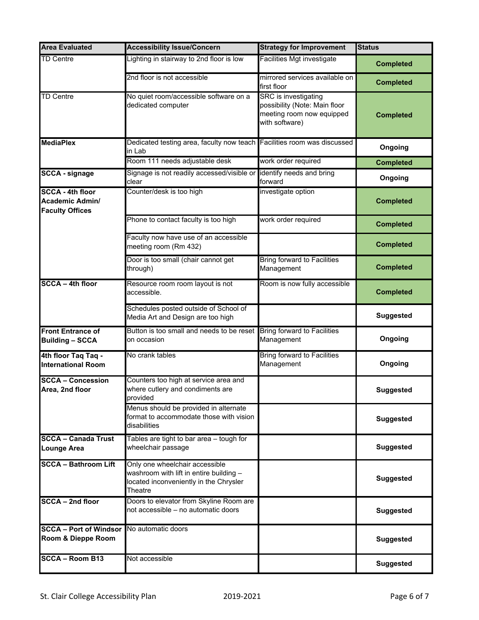| <b>Area Evaluated</b>                                                       | <b>Accessibility Issue/Concern</b>                                                                                             | <b>Strategy for Improvement</b>                                                                      | <b>Status</b>    |
|-----------------------------------------------------------------------------|--------------------------------------------------------------------------------------------------------------------------------|------------------------------------------------------------------------------------------------------|------------------|
| <b>TD Centre</b>                                                            | ighting in stairway to 2nd floor is low                                                                                        | Facilities Mgt investigate                                                                           | <b>Completed</b> |
|                                                                             | 2nd floor is not accessible                                                                                                    | mirrored services available on<br>first floor                                                        | <b>Completed</b> |
| <b>TD Centre</b>                                                            | No quiet room/accessible software on a<br>dedicated computer                                                                   | SRC is investigating<br>possibility (Note: Main floor<br>meeting room now equipped<br>with software) | <b>Completed</b> |
| <b>MediaPlex</b>                                                            | Dedicated testing area, faculty now teach Facilities room was discussed<br>in Lab                                              |                                                                                                      | Ongoing          |
|                                                                             | Room 111 needs adjustable desk                                                                                                 | work order required                                                                                  | <b>Completed</b> |
| <b>SCCA - signage</b>                                                       | Signage is not readily accessed/visible or<br>clear                                                                            | identify needs and bring<br>forward                                                                  | Ongoing          |
| <b>SCCA - 4th floor</b><br><b>Academic Admin/</b><br><b>Faculty Offices</b> | Counter/desk is too high                                                                                                       | investigate option                                                                                   | <b>Completed</b> |
|                                                                             | Phone to contact faculty is too high                                                                                           | work order required                                                                                  | <b>Completed</b> |
|                                                                             | Faculty now have use of an accessible<br>meeting room (Rm 432)                                                                 |                                                                                                      | <b>Completed</b> |
|                                                                             | Door is too small (chair cannot get<br>through)                                                                                | <b>Bring forward to Facilities</b><br>Management                                                     | <b>Completed</b> |
| <b>SCCA - 4th floor</b>                                                     | Resource room room layout is not<br>accessible.                                                                                | Room is now fully accessible                                                                         | <b>Completed</b> |
|                                                                             | Schedules posted outside of School of<br>Media Art and Design are too high                                                     |                                                                                                      | <b>Suggested</b> |
| <b>Front Entrance of</b><br><b>Building - SCCA</b>                          | Button is too small and needs to be reset<br>on occasion                                                                       | <b>Bring forward to Facilities</b><br>Management                                                     | Ongoing          |
| 4th floor Taq Taq -<br><b>International Room</b>                            | No crank tables                                                                                                                | <b>Bring forward to Facilities</b><br>Management                                                     | Ongoing          |
| <b>SCCA - Concession</b><br>Area, 2nd floor                                 | Counters too high at service area and<br>where cutlery and condiments are<br>provided                                          |                                                                                                      | <b>Suggested</b> |
|                                                                             | Menus should be provided in alternate<br>format to accommodate those with vision<br>disabilities                               |                                                                                                      | <b>Suggested</b> |
| <b>SCCA - Canada Trust</b><br><b>Lounge Area</b>                            | Tables are tight to bar area - tough for<br>wheelchair passage                                                                 |                                                                                                      | <b>Suggested</b> |
| <b>SCCA - Bathroom Lift</b>                                                 | Only one wheelchair accessible<br>washroom with lift in entire building -<br>located inconveniently in the Chrysler<br>Theatre |                                                                                                      | <b>Suggested</b> |
| SCCA - 2nd floor                                                            | Doors to elevator from Skyline Room are<br>not accessible - no automatic doors                                                 |                                                                                                      | <b>Suggested</b> |
| <b>SCCA - Port of Windsor</b><br>Room & Dieppe Room                         | No automatic doors                                                                                                             |                                                                                                      | <b>Suggested</b> |
| $SCCA - Room B13$                                                           | Not accessible                                                                                                                 |                                                                                                      | <b>Suggested</b> |